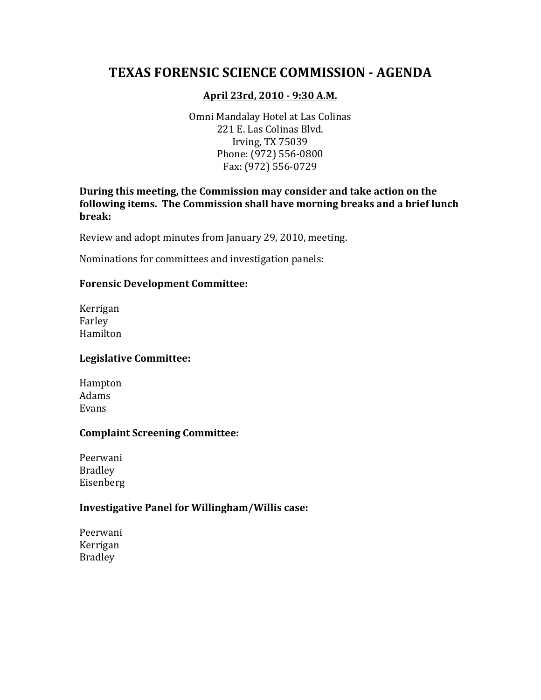# **TEXAS FORENSIC SCIENCE COMMISSION - AGENDA**

#### **April 23rd, 2010 - 9:30 A.M.**

Omni Mandalay Hotel at Las Colinas 221 E. Las Colinas Blvd. Irving, TX 75039 Phone: (972) 556-0800 Fax: (972) 556-0729

**During this meeting, the Commission may consider and take action on the following items. The Commission shall have morning breaks and a brief lunch break:**

Review and adopt minutes from January 29, 2010, meeting.

Nominations for committees and investigation panels:

#### **Forensic Development Committee:**

Kerrigan Farley Hamilton

#### **Legislative Committee:**

Hampton Adams Evans

#### **Complaint Screening Committee:**

Peerwani Bradley Eisenberg

#### **Investigative Panel for Willingham/Willis case:**

Peerwani Kerrigan Bradley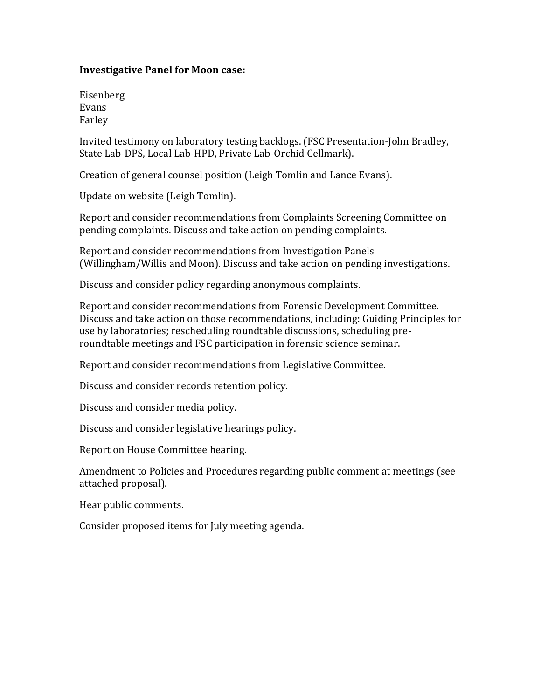#### **Investigative Panel for Moon case:**

Eisenberg Evans Farley

Invited testimony on laboratory testing backlogs. (FSC Presentation-John Bradley, State Lab-DPS, Local Lab-HPD, Private Lab-Orchid Cellmark).

Creation of general counsel position (Leigh Tomlin and Lance Evans).

Update on website (Leigh Tomlin).

Report and consider recommendations from Complaints Screening Committee on pending complaints. Discuss and take action on pending complaints.

Report and consider recommendations from Investigation Panels (Willingham/Willis and Moon). Discuss and take action on pending investigations.

Discuss and consider policy regarding anonymous complaints.

Report and consider recommendations from Forensic Development Committee. Discuss and take action on those recommendations, including: Guiding Principles for use by laboratories; rescheduling roundtable discussions, scheduling preroundtable meetings and FSC participation in forensic science seminar.

Report and consider recommendations from Legislative Committee.

Discuss and consider records retention policy.

Discuss and consider media policy.

Discuss and consider legislative hearings policy.

Report on House Committee hearing.

Amendment to Policies and Procedures regarding public comment at meetings (see attached proposal).

Hear public comments.

Consider proposed items for July meeting agenda.